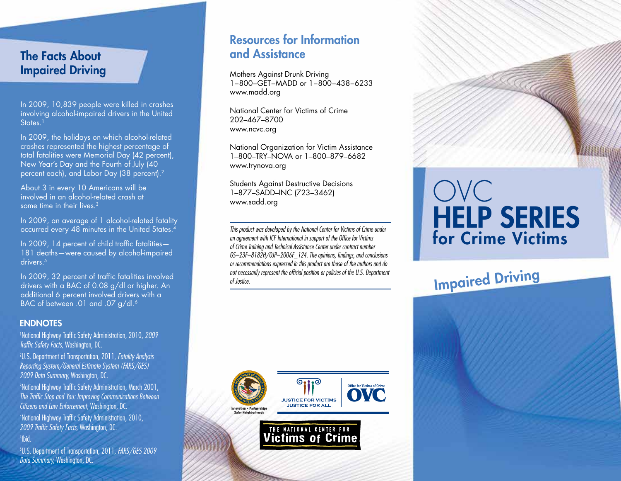# The Facts About Impaired Driving

In 2009, 10,839 people were killed in crashes involving alcohol-impaired drivers in the United States.<sup>1</sup>

In 2009, the holidays on which alcohol-related crashes represented the highest percentage of total fatalities were Memorial Day (42 percent), New Year's Day and the Fourth of July (40 percent each), and Labor Day (38 percent).2

About 3 in every 10 Americans will be involved in an alcohol-related crash at some time in their lives.<sup>3</sup>

In 2009, an average of 1 alcohol-related fatality occurred every 48 minutes in the United States.<sup>4</sup>

In 2009, 14 percent of child traffic fatalities— 181 deaths—were caused by alcohol-impaired drivers.<sup>5</sup>

In 2009, 32 percent of traffic fatalities involved drivers with a BAC of 0.08 g/dl or higher. An additional 6 percent involved drivers with a BAC of between .01 and .07 g/dl.<sup>6</sup>

#### **ENDNOTES**

1 National Highway Traffic Safety Administration, 2010, *2009 Traffic Safety Facts,* Washington, DC.

2 U.S. Department of Transportation, 2011, *Fatality Analysis Reporting System/General Estimate System (FARS/GES) 2009 Data Summary,* Washington, DC.

3 National Highway Traffic Safety Administration, March 2001, *The Traffic Stop and You: Improving Communications Between Citizens and Law Enforcement,* Washington, DC.

4 National Highway Traffic Safety Administration, 2010, *2009 Traffic Safety Facts,* Washington, DC.

5 Ibid.

6 U.S. Department of Transportation, 2011, *FARS/GES 2009 Data Summary,* Washington, DC.

# Resources for Information and Assistance

Mothers Against Drunk Driving 1−800−GET−MADD or 1−800−438−6233 www.madd.org

National Center for Victims of Crime 202–467–8700 www.ncvc.org

National Organization for Victim Assistance 1–800–TRY–NOVA or 1–800–879–6682 www.trynova.org

Students Against Destructive Decisions 1–877–SADD–INC (723–3462) www.sadd.org

*This product was developed by the National Center for Victims of Crime under an agreement with ICF International in support of the Office for Victims of Crime Training and Technical Assistance Center under contract number GS–23F–8182H/OJP–2006F\_124. The opinions, findings, and conclusions or recommendations expressed in this product are those of the authors and do not necessarily represent the official position or policies of the U.S. Department of Justice.*



# OVC HELP sERIEs for Crime Victims

Impaired Driving